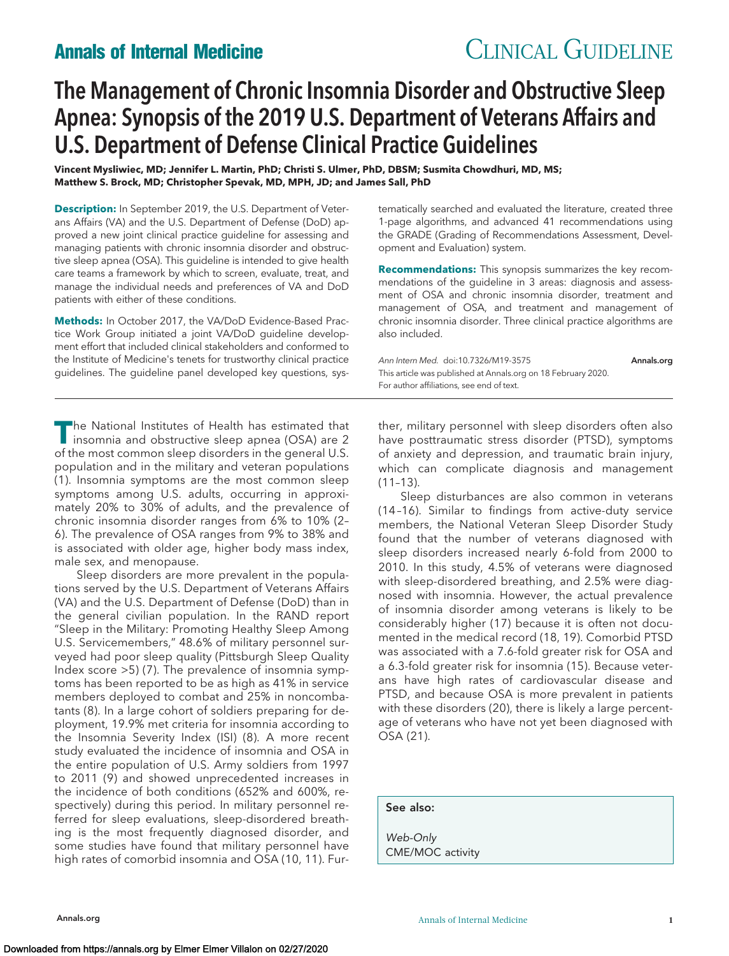# **Annals of Internal Medicine** CLINICAL GUIDELINE

# The Management of Chronic Insomnia Disorder and Obstructive Sleep Apnea: Synopsis of the 2019 U.S. Department of Veterans Affairs and U.S. Department of Defense Clinical Practice Guidelines

**Vincent Mysliwiec, MD; Jennifer L. Martin, PhD; Christi S. Ulmer, PhD, DBSM; Susmita Chowdhuri, MD, MS; Matthew S. Brock, MD; Christopher Spevak, MD, MPH, JD; and James Sall, PhD**

**Description:** In September 2019, the U.S. Department of Veterans Affairs (VA) and the U.S. Department of Defense (DoD) approved a new joint clinical practice guideline for assessing and managing patients with chronic insomnia disorder and obstructive sleep apnea (OSA). This guideline is intended to give health care teams a framework by which to screen, evaluate, treat, and manage the individual needs and preferences of VA and DoD patients with either of these conditions.

**Methods:** In October 2017, the VA/DoD Evidence-Based Practice Work Group initiated a joint VA/DoD guideline development effort that included clinical stakeholders and conformed to the Institute of Medicine's tenets for trustworthy clinical practice guidelines. The guideline panel developed key questions, systematically searched and evaluated the literature, created three 1-page algorithms, and advanced 41 recommendations using the GRADE (Grading of Recommendations Assessment, Development and Evaluation) system.

**Recommendations:** This synopsis summarizes the key recommendations of the guideline in 3 areas: diagnosis and assessment of OSA and chronic insomnia disorder, treatment and management of OSA, and treatment and management of chronic insomnia disorder. Three clinical practice algorithms are also included.

Ann Intern Med. doi:10.7326/M19-3575 **[Annals.org](http://www.annals.org)** This article was published at [Annals.org o](http://www.annals.org)n 18 February 2020. For author affiliations, see end of text.

**T**he National Institutes of Health has estimated that Insomnia and obstructive sleep apnea (OSA) are 2 of the most common sleep disorders in the general U.S. population and in the military and veteran populations (1). Insomnia symptoms are the most common sleep symptoms among U.S. adults, occurring in approximately 20% to 30% of adults, and the prevalence of chronic insomnia disorder ranges from 6% to 10% (2– 6). The prevalence of OSA ranges from 9% to 38% and is associated with older age, higher body mass index, male sex, and menopause.

Sleep disorders are more prevalent in the populations served by the U.S. Department of Veterans Affairs (VA) and the U.S. Department of Defense (DoD) than in the general civilian population. In the RAND report "Sleep in the Military: Promoting Healthy Sleep Among U.S. Servicemembers," 48.6% of military personnel surveyed had poor sleep quality (Pittsburgh Sleep Quality Index score >5) (7). The prevalence of insomnia symptoms has been reported to be as high as 41% in service members deployed to combat and 25% in noncombatants (8). In a large cohort of soldiers preparing for deployment, 19.9% met criteria for insomnia according to the Insomnia Severity Index (ISI) (8). A more recent study evaluated the incidence of insomnia and OSA in the entire population of U.S. Army soldiers from 1997 to 2011 (9) and showed unprecedented increases in the incidence of both conditions (652% and 600%, respectively) during this period. In military personnel referred for sleep evaluations, sleep-disordered breathing is the most frequently diagnosed disorder, and some studies have found that military personnel have high rates of comorbid insomnia and OSA (10, 11). Fur-

ther, military personnel with sleep disorders often also have posttraumatic stress disorder (PTSD), symptoms of anxiety and depression, and traumatic brain injury, which can complicate diagnosis and management  $(11-13)$ .

Sleep disturbances are also common in veterans (14 –16). Similar to findings from active-duty service members, the National Veteran Sleep Disorder Study found that the number of veterans diagnosed with sleep disorders increased nearly 6-fold from 2000 to 2010. In this study, 4.5% of veterans were diagnosed with sleep-disordered breathing, and 2.5% were diagnosed with insomnia. However, the actual prevalence of insomnia disorder among veterans is likely to be considerably higher (17) because it is often not documented in the medical record (18, 19). Comorbid PTSD was associated with a 7.6-fold greater risk for OSA and a 6.3-fold greater risk for insomnia (15). Because veterans have high rates of cardiovascular disease and PTSD, and because OSA is more prevalent in patients with these disorders (20), there is likely a large percentage of veterans who have not yet been diagnosed with OSA (21).

See also:

*Web-Only* CME/MOC activity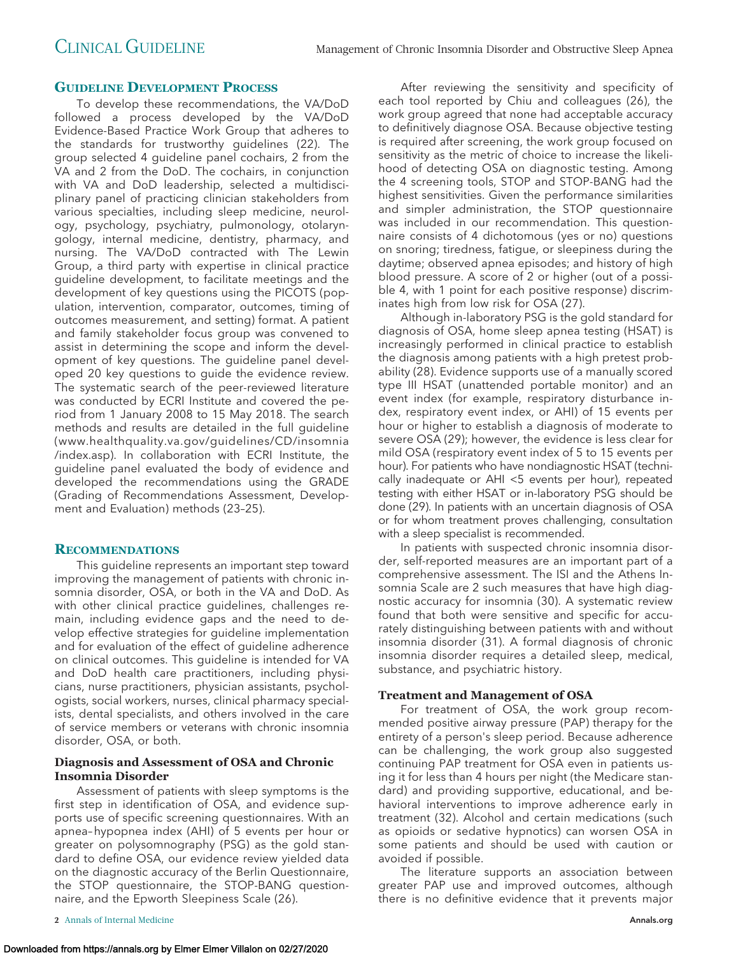## **GUIDELINE DEVELOPMENT PROCESS**

To develop these recommendations, the VA/DoD followed a process developed by the VA/DoD Evidence-Based Practice Work Group that adheres to the standards for trustworthy guidelines (22). The group selected 4 guideline panel cochairs, 2 from the VA and 2 from the DoD. The cochairs, in conjunction with VA and DoD leadership, selected a multidisciplinary panel of practicing clinician stakeholders from various specialties, including sleep medicine, neurology, psychology, psychiatry, pulmonology, otolaryngology, internal medicine, dentistry, pharmacy, and nursing. The VA/DoD contracted with The Lewin Group, a third party with expertise in clinical practice guideline development, to facilitate meetings and the development of key questions using the PICOTS (population, intervention, comparator, outcomes, timing of outcomes measurement, and setting) format. A patient and family stakeholder focus group was convened to assist in determining the scope and inform the development of key questions. The guideline panel developed 20 key questions to guide the evidence review. The systematic search of the peer-reviewed literature was conducted by ECRI Institute and covered the period from 1 January 2008 to 15 May 2018. The search methods and results are detailed in the full guideline [\(www.healthquality.va.gov/guidelines/CD/insomnia](http://www.healthquality.va.gov/guidelines/CD/insomnia/index.asp) [/index.asp\)](http://www.healthquality.va.gov/guidelines/CD/insomnia/index.asp). In collaboration with ECRI Institute, the guideline panel evaluated the body of evidence and developed the recommendations using the GRADE (Grading of Recommendations Assessment, Development and Evaluation) methods (23–25).

## **RECOMMENDATIONS**

This guideline represents an important step toward improving the management of patients with chronic insomnia disorder, OSA, or both in the VA and DoD. As with other clinical practice guidelines, challenges remain, including evidence gaps and the need to develop effective strategies for guideline implementation and for evaluation of the effect of guideline adherence on clinical outcomes. This guideline is intended for VA and DoD health care practitioners, including physicians, nurse practitioners, physician assistants, psychologists, social workers, nurses, clinical pharmacy specialists, dental specialists, and others involved in the care of service members or veterans with chronic insomnia disorder, OSA, or both.

## **Diagnosis and Assessment of OSA and Chronic Insomnia Disorder**

Assessment of patients with sleep symptoms is the first step in identification of OSA, and evidence supports use of specific screening questionnaires. With an apnea– hypopnea index (AHI) of 5 events per hour or greater on polysomnography (PSG) as the gold standard to define OSA, our evidence review yielded data on the diagnostic accuracy of the Berlin Questionnaire, the STOP questionnaire, the STOP-BANG questionnaire, and the Epworth Sleepiness Scale (26).

After reviewing the sensitivity and specificity of each tool reported by Chiu and colleagues (26), the work group agreed that none had acceptable accuracy to definitively diagnose OSA. Because objective testing is required after screening, the work group focused on sensitivity as the metric of choice to increase the likelihood of detecting OSA on diagnostic testing. Among the 4 screening tools, STOP and STOP-BANG had the highest sensitivities. Given the performance similarities and simpler administration, the STOP questionnaire was included in our recommendation. This questionnaire consists of 4 dichotomous (yes or no) questions on snoring; tiredness, fatigue, or sleepiness during the daytime; observed apnea episodes; and history of high blood pressure. A score of 2 or higher (out of a possible 4, with 1 point for each positive response) discriminates high from low risk for OSA (27).

Although in-laboratory PSG is the gold standard for diagnosis of OSA, home sleep apnea testing (HSAT) is increasingly performed in clinical practice to establish the diagnosis among patients with a high pretest probability (28). Evidence supports use of a manually scored type III HSAT (unattended portable monitor) and an event index (for example, respiratory disturbance index, respiratory event index, or AHI) of 15 events per hour or higher to establish a diagnosis of moderate to severe OSA (29); however, the evidence is less clear for mild OSA (respiratory event index of 5 to 15 events per hour). For patients who have nondiagnostic HSAT (technically inadequate or AHI <5 events per hour), repeated testing with either HSAT or in-laboratory PSG should be done (29). In patients with an uncertain diagnosis of OSA or for whom treatment proves challenging, consultation with a sleep specialist is recommended.

In patients with suspected chronic insomnia disorder, self-reported measures are an important part of a comprehensive assessment. The ISI and the Athens Insomnia Scale are 2 such measures that have high diagnostic accuracy for insomnia (30). A systematic review found that both were sensitive and specific for accurately distinguishing between patients with and without insomnia disorder (31). A formal diagnosis of chronic insomnia disorder requires a detailed sleep, medical, substance, and psychiatric history.

#### **Treatment and Management of OSA**

For treatment of OSA, the work group recommended positive airway pressure (PAP) therapy for the entirety of a person's sleep period. Because adherence can be challenging, the work group also suggested continuing PAP treatment for OSA even in patients using it for less than 4 hours per night (the Medicare standard) and providing supportive, educational, and behavioral interventions to improve adherence early in treatment (32). Alcohol and certain medications (such as opioids or sedative hypnotics) can worsen OSA in some patients and should be used with caution or avoided if possible.

The literature supports an association between greater PAP use and improved outcomes, although there is no definitive evidence that it prevents major

**<sup>2</sup>** Annals of Internal Medicine **[Annals.org](http://www.annals.org) 2** Annals.org **2** Annals.org **2** Annals.org **2** Annals.org **2** Annals.org **2** Annals.org **2** Annals.org **2** Annals.org **2** Annals.org **2** Annals.org **2** Annals.org **2** Annals.o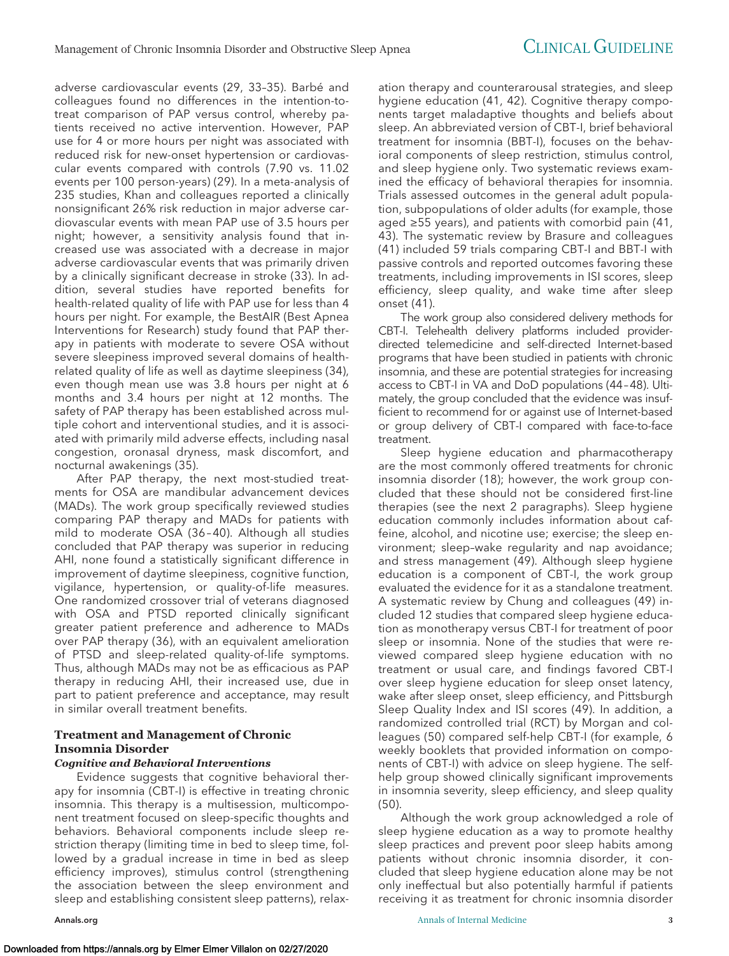adverse cardiovascular events (29, 33-35). Barbé and colleagues found no differences in the intention-totreat comparison of PAP versus control, whereby patients received no active intervention. However, PAP use for 4 or more hours per night was associated with reduced risk for new-onset hypertension or cardiovascular events compared with controls (7.90 vs. 11.02 events per 100 person-years) (29). In a meta-analysis of 235 studies, Khan and colleagues reported a clinically nonsignificant 26% risk reduction in major adverse cardiovascular events with mean PAP use of 3.5 hours per night; however, a sensitivity analysis found that increased use was associated with a decrease in major adverse cardiovascular events that was primarily driven by a clinically significant decrease in stroke (33). In addition, several studies have reported benefits for health-related quality of life with PAP use for less than 4 hours per night. For example, the BestAIR (Best Apnea Interventions for Research) study found that PAP therapy in patients with moderate to severe OSA without severe sleepiness improved several domains of healthrelated quality of life as well as daytime sleepiness (34), even though mean use was 3.8 hours per night at 6 months and 3.4 hours per night at 12 months. The safety of PAP therapy has been established across multiple cohort and interventional studies, and it is associated with primarily mild adverse effects, including nasal congestion, oronasal dryness, mask discomfort, and nocturnal awakenings (35).

After PAP therapy, the next most-studied treatments for OSA are mandibular advancement devices (MADs). The work group specifically reviewed studies comparing PAP therapy and MADs for patients with mild to moderate OSA (36 – 40). Although all studies concluded that PAP therapy was superior in reducing AHI, none found a statistically significant difference in improvement of daytime sleepiness, cognitive function, vigilance, hypertension, or quality-of-life measures. One randomized crossover trial of veterans diagnosed with OSA and PTSD reported clinically significant greater patient preference and adherence to MADs over PAP therapy (36), with an equivalent amelioration of PTSD and sleep-related quality-of-life symptoms. Thus, although MADs may not be as efficacious as PAP therapy in reducing AHI, their increased use, due in part to patient preference and acceptance, may result in similar overall treatment benefits.

# **Treatment and Management of Chronic Insomnia Disorder**

## *Cognitive and Behavioral Interventions*

Evidence suggests that cognitive behavioral therapy for insomnia (CBT-I) is effective in treating chronic insomnia. This therapy is a multisession, multicomponent treatment focused on sleep-specific thoughts and behaviors. Behavioral components include sleep restriction therapy (limiting time in bed to sleep time, followed by a gradual increase in time in bed as sleep efficiency improves), stimulus control (strengthening the association between the sleep environment and sleep and establishing consistent sleep patterns), relax-

ation therapy and counterarousal strategies, and sleep hygiene education (41, 42). Cognitive therapy components target maladaptive thoughts and beliefs about sleep. An abbreviated version of CBT-I, brief behavioral treatment for insomnia (BBT-I), focuses on the behavioral components of sleep restriction, stimulus control, and sleep hygiene only. Two systematic reviews examined the efficacy of behavioral therapies for insomnia. Trials assessed outcomes in the general adult population, subpopulations of older adults (for example, those aged ≥55 years), and patients with comorbid pain (41, 43). The systematic review by Brasure and colleagues (41) included 59 trials comparing CBT-I and BBT-I with passive controls and reported outcomes favoring these treatments, including improvements in ISI scores, sleep efficiency, sleep quality, and wake time after sleep onset (41).

The work group also considered delivery methods for CBT-I. Telehealth delivery platforms included providerdirected telemedicine and self-directed Internet-based programs that have been studied in patients with chronic insomnia, and these are potential strategies for increasing access to CBT-I in VA and DoD populations (44 –48). Ultimately, the group concluded that the evidence was insufficient to recommend for or against use of Internet-based or group delivery of CBT-I compared with face-to-face treatment.

Sleep hygiene education and pharmacotherapy are the most commonly offered treatments for chronic insomnia disorder (18); however, the work group concluded that these should not be considered first-line therapies (see the next 2 paragraphs). Sleep hygiene education commonly includes information about caffeine, alcohol, and nicotine use; exercise; the sleep environment; sleep–wake regularity and nap avoidance; and stress management (49). Although sleep hygiene education is a component of CBT-I, the work group evaluated the evidence for it as a standalone treatment. A systematic review by Chung and colleagues (49) included 12 studies that compared sleep hygiene education as monotherapy versus CBT-I for treatment of poor sleep or insomnia. None of the studies that were reviewed compared sleep hygiene education with no treatment or usual care, and findings favored CBT-I over sleep hygiene education for sleep onset latency, wake after sleep onset, sleep efficiency, and Pittsburgh Sleep Quality Index and ISI scores (49). In addition, a randomized controlled trial (RCT) by Morgan and colleagues (50) compared self-help CBT-I (for example, 6 weekly booklets that provided information on components of CBT-I) with advice on sleep hygiene. The selfhelp group showed clinically significant improvements in insomnia severity, sleep efficiency, and sleep quality (50).

Although the work group acknowledged a role of sleep hygiene education as a way to promote healthy sleep practices and prevent poor sleep habits among patients without chronic insomnia disorder, it concluded that sleep hygiene education alone may be not only ineffectual but also potentially harmful if patients receiving it as treatment for chronic insomnia disorder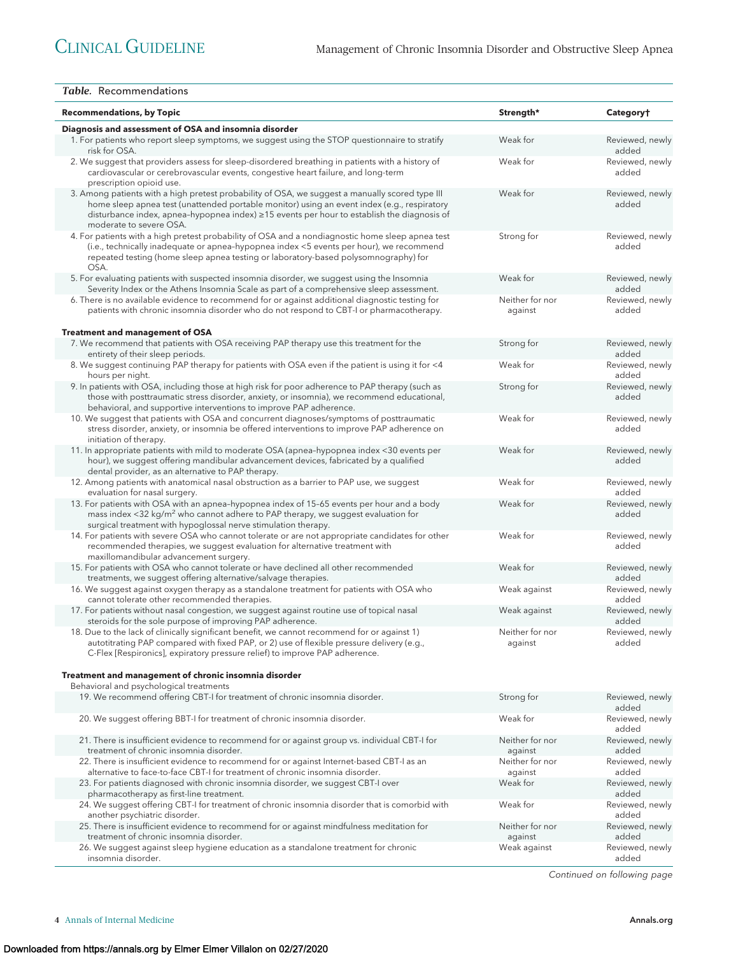#### *Table.* Recommendations

| <b>Recommendations, by Topic</b>                                                                                                                                                                                                                                                                                        | Strength*                  | Category <sup>+</sup>    |
|-------------------------------------------------------------------------------------------------------------------------------------------------------------------------------------------------------------------------------------------------------------------------------------------------------------------------|----------------------------|--------------------------|
| Diagnosis and assessment of OSA and insomnia disorder                                                                                                                                                                                                                                                                   |                            |                          |
| 1. For patients who report sleep symptoms, we suggest using the STOP questionnaire to stratify<br>risk for OSA.                                                                                                                                                                                                         | Weak for                   | Reviewed, newly<br>added |
| 2. We suggest that providers assess for sleep-disordered breathing in patients with a history of<br>cardiovascular or cerebrovascular events, congestive heart failure, and long-term<br>prescription opioid use.                                                                                                       | Weak for                   | Reviewed, newly<br>added |
| 3. Among patients with a high pretest probability of OSA, we suggest a manually scored type III<br>home sleep apnea test (unattended portable monitor) using an event index (e.g., respiratory<br>disturbance index, apnea-hypopnea index) ≥15 events per hour to establish the diagnosis of<br>moderate to severe OSA. | Weak for                   | Reviewed, newly<br>added |
| 4. For patients with a high pretest probability of OSA and a nondiagnostic home sleep apnea test<br>(i.e., technically inadequate or apnea-hypopnea index <5 events per hour), we recommend<br>repeated testing (home sleep apnea testing or laboratory-based polysomnography) for<br>OSA.                              | Strong for                 | Reviewed, newly<br>added |
| 5. For evaluating patients with suspected insomnia disorder, we suggest using the Insomnia<br>Severity Index or the Athens Insomnia Scale as part of a comprehensive sleep assessment.                                                                                                                                  | Weak for                   | Reviewed, newly<br>added |
| 6. There is no available evidence to recommend for or against additional diagnostic testing for<br>patients with chronic insomnia disorder who do not respond to CBT-I or pharmacotherapy.                                                                                                                              | Neither for nor<br>against | Reviewed, newly<br>added |
| <b>Treatment and management of OSA</b><br>7. We recommend that patients with OSA receiving PAP therapy use this treatment for the<br>entirety of their sleep periods.                                                                                                                                                   | Strong for                 | Reviewed, newly<br>added |
| 8. We suggest continuing PAP therapy for patients with OSA even if the patient is using it for <4<br>hours per night.                                                                                                                                                                                                   | Weak for                   | Reviewed, newly<br>added |
| 9. In patients with OSA, including those at high risk for poor adherence to PAP therapy (such as<br>those with posttraumatic stress disorder, anxiety, or insomnia), we recommend educational,<br>behavioral, and supportive interventions to improve PAP adherence.                                                    | Strong for                 | Reviewed, newly<br>added |
| 10. We suggest that patients with OSA and concurrent diagnoses/symptoms of posttraumatic<br>stress disorder, anxiety, or insomnia be offered interventions to improve PAP adherence on<br>initiation of therapy.                                                                                                        | Weak for                   | Reviewed, newly<br>added |
| 11. In appropriate patients with mild to moderate OSA (apnea-hypopnea index <30 events per<br>hour), we suggest offering mandibular advancement devices, fabricated by a qualified<br>dental provider, as an alternative to PAP therapy.                                                                                | Weak for                   | Reviewed, newly<br>added |
| 12. Among patients with anatomical nasal obstruction as a barrier to PAP use, we suggest<br>evaluation for nasal surgery.                                                                                                                                                                                               | Weak for                   | Reviewed, newly<br>added |
| 13. For patients with OSA with an apnea-hypopnea index of 15-65 events per hour and a body<br>mass index <32 kg/m <sup>2</sup> who cannot adhere to PAP therapy, we suggest evaluation for<br>surgical treatment with hypoglossal nerve stimulation therapy.                                                            | Weak for                   | Reviewed, newly<br>added |
| 14. For patients with severe OSA who cannot tolerate or are not appropriate candidates for other<br>recommended therapies, we suggest evaluation for alternative treatment with<br>maxillomandibular advancement surgery.                                                                                               | Weak for                   | Reviewed, newly<br>added |
| 15. For patients with OSA who cannot tolerate or have declined all other recommended<br>treatments, we suggest offering alternative/salvage therapies.                                                                                                                                                                  | Weak for                   | Reviewed, newly<br>added |
| 16. We suggest against oxygen therapy as a standalone treatment for patients with OSA who<br>cannot tolerate other recommended therapies.                                                                                                                                                                               | Weak against               | Reviewed, newly<br>added |
| 17. For patients without nasal congestion, we suggest against routine use of topical nasal<br>steroids for the sole purpose of improving PAP adherence.                                                                                                                                                                 | Weak against               | Reviewed, newly<br>added |
| 18. Due to the lack of clinically significant benefit, we cannot recommend for or against 1)<br>autotitrating PAP compared with fixed PAP, or 2) use of flexible pressure delivery (e.g.,<br>C-Flex [Respironics], expiratory pressure relief) to improve PAP adherence.                                                | Neither for nor<br>against | Reviewed, newly<br>added |
| Treatment and management of chronic insomnia disorder<br>Behavioral and psychological treatments                                                                                                                                                                                                                        |                            |                          |
| 19. We recommend offering CBT-I for treatment of chronic insomnia disorder.                                                                                                                                                                                                                                             | Strong for                 | Reviewed, newly<br>added |
| 20. We suggest offering BBT-I for treatment of chronic insomnia disorder.                                                                                                                                                                                                                                               | Weak for                   | Reviewed, newly<br>added |
| 21. There is insufficient evidence to recommend for or against group vs. individual CBT-I for<br>treatment of chronic insomnia disorder.                                                                                                                                                                                | Neither for nor<br>against | Reviewed, newly<br>added |
| 22. There is insufficient evidence to recommend for or against Internet-based CBT-I as an<br>alternative to face-to-face CBT-I for treatment of chronic insomnia disorder.                                                                                                                                              | Neither for nor<br>against | Reviewed, newly<br>added |
| 23. For patients diagnosed with chronic insomnia disorder, we suggest CBT-I over<br>pharmacotherapy as first-line treatment.                                                                                                                                                                                            | Weak for                   | Reviewed, newly<br>added |
| 24. We suggest offering CBT-I for treatment of chronic insomnia disorder that is comorbid with<br>another psychiatric disorder.                                                                                                                                                                                         | Weak for                   | Reviewed, newly<br>added |
| 25. There is insufficient evidence to recommend for or against mindfulness meditation for<br>treatment of chronic insomnia disorder.                                                                                                                                                                                    | Neither for nor<br>against | Reviewed, newly<br>added |
| 26. We suggest against sleep hygiene education as a standalone treatment for chronic<br>insomnia disorder.                                                                                                                                                                                                              | Weak against               | Reviewed, newly<br>added |

Continued on following page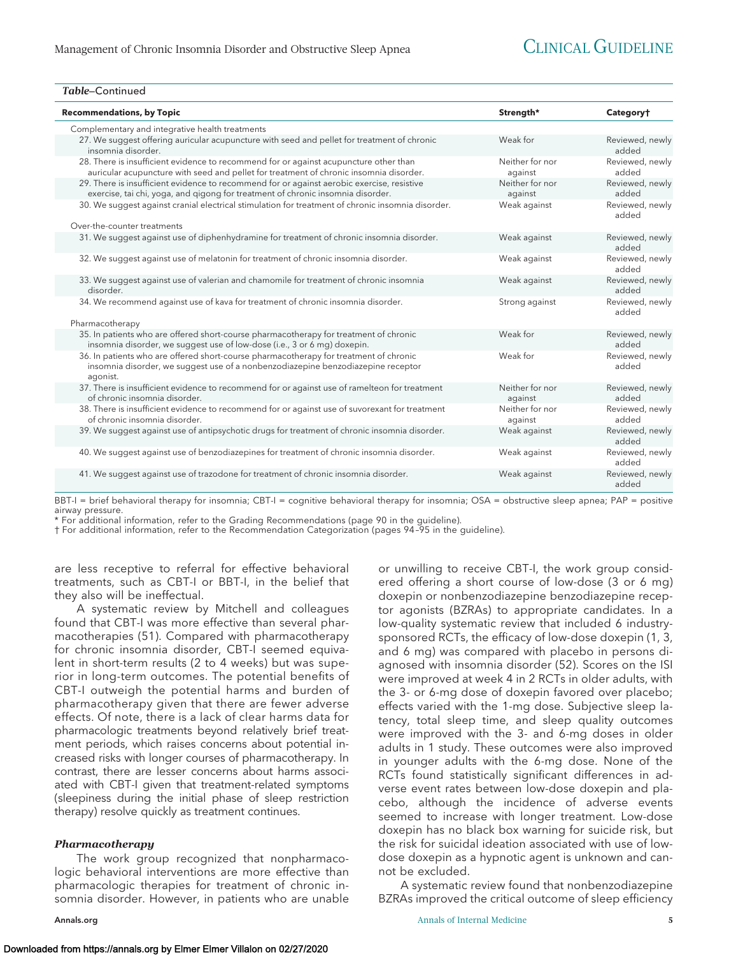#### *Table*—Continued

| <b>Recommendations, by Topic</b>                                                                                                                                                      | Strength*                  | Category <sup>+</sup>    |
|---------------------------------------------------------------------------------------------------------------------------------------------------------------------------------------|----------------------------|--------------------------|
| Complementary and integrative health treatments                                                                                                                                       |                            |                          |
| 27. We suggest offering auricular acupuncture with seed and pellet for treatment of chronic<br>insomnia disorder.                                                                     | Weak for                   | Reviewed, newly<br>added |
| 28. There is insufficient evidence to recommend for or against acupuncture other than<br>auricular acupuncture with seed and pellet for treatment of chronic insomnia disorder.       | Neither for nor<br>against | Reviewed, newly<br>added |
| 29. There is insufficient evidence to recommend for or against aerobic exercise, resistive<br>exercise, tai chi, yoga, and gigong for treatment of chronic insomnia disorder.         | Neither for nor<br>against | Reviewed, newly<br>added |
| 30. We suggest against cranial electrical stimulation for treatment of chronic insomnia disorder.                                                                                     | Weak against               | Reviewed, newly<br>added |
| Over-the-counter treatments                                                                                                                                                           |                            |                          |
| 31. We suggest against use of diphenhydramine for treatment of chronic insomnia disorder.                                                                                             | Weak against               | Reviewed, newly<br>added |
| 32. We suggest against use of melatonin for treatment of chronic insomnia disorder.                                                                                                   | Weak against               | Reviewed, newly<br>added |
| 33. We suggest against use of valerian and chamomile for treatment of chronic insomnia<br>disorder.                                                                                   | Weak against               | Reviewed, newly<br>added |
| 34. We recommend against use of kava for treatment of chronic insomnia disorder.                                                                                                      | Strong against             | Reviewed, newly<br>added |
| Pharmacotherapy                                                                                                                                                                       |                            |                          |
| 35. In patients who are offered short-course pharmacotherapy for treatment of chronic<br>insomnia disorder, we suggest use of low-dose (i.e., 3 or 6 mg) doxepin.                     | Weak for                   | Reviewed, newly<br>added |
| 36. In patients who are offered short-course pharmacotherapy for treatment of chronic<br>insomnia disorder, we suggest use of a nonbenzodiazepine benzodiazepine receptor<br>agonist. | Weak for                   | Reviewed, newly<br>added |
| 37. There is insufficient evidence to recommend for or against use of ramelteon for treatment<br>of chronic insomnia disorder.                                                        | Neither for nor<br>against | Reviewed, newly<br>added |
| 38. There is insufficient evidence to recommend for or against use of suvorexant for treatment<br>of chronic insomnia disorder.                                                       | Neither for nor<br>against | Reviewed, newly<br>added |
| 39. We suggest against use of antipsychotic drugs for treatment of chronic insomnia disorder.                                                                                         | Weak against               | Reviewed, newly<br>added |
| 40. We suggest against use of benzodiazepines for treatment of chronic insomnia disorder.                                                                                             | Weak against               | Reviewed, newly<br>added |
| 41. We suggest against use of trazodone for treatment of chronic insomnia disorder.                                                                                                   | Weak against               | Reviewed, newly<br>added |

BBT-I = brief behavioral therapy for insomnia; CBT-I = cognitive behavioral therapy for insomnia; OSA = obstructive sleep apnea; PAP = positive airway pressure.

\* For additional information, refer to the Grading Recommendations (page 90 in the guideline).

† For additional information, refer to the Recommendation Categorization (pages 94 –95 in the guideline).

are less receptive to referral for effective behavioral treatments, such as CBT-I or BBT-I, in the belief that they also will be ineffectual.

A systematic review by Mitchell and colleagues found that CBT-I was more effective than several pharmacotherapies (51). Compared with pharmacotherapy for chronic insomnia disorder, CBT-I seemed equivalent in short-term results (2 to 4 weeks) but was superior in long-term outcomes. The potential benefits of CBT-I outweigh the potential harms and burden of pharmacotherapy given that there are fewer adverse effects. Of note, there is a lack of clear harms data for pharmacologic treatments beyond relatively brief treatment periods, which raises concerns about potential increased risks with longer courses of pharmacotherapy. In contrast, there are lesser concerns about harms associated with CBT-I given that treatment-related symptoms (sleepiness during the initial phase of sleep restriction therapy) resolve quickly as treatment continues.

#### *Pharmacotherapy*

The work group recognized that nonpharmacologic behavioral interventions are more effective than pharmacologic therapies for treatment of chronic insomnia disorder. However, in patients who are unable

or unwilling to receive CBT-I, the work group considered offering a short course of low-dose (3 or 6 mg) doxepin or nonbenzodiazepine benzodiazepine receptor agonists (BZRAs) to appropriate candidates. In a low-quality systematic review that included 6 industrysponsored RCTs, the efficacy of low-dose doxepin (1, 3, and 6 mg) was compared with placebo in persons diagnosed with insomnia disorder (52). Scores on the ISI were improved at week 4 in 2 RCTs in older adults, with the 3- or 6-mg dose of doxepin favored over placebo; effects varied with the 1-mg dose. Subjective sleep latency, total sleep time, and sleep quality outcomes were improved with the 3- and 6-mg doses in older adults in 1 study. These outcomes were also improved in younger adults with the 6-mg dose. None of the RCTs found statistically significant differences in adverse event rates between low-dose doxepin and placebo, although the incidence of adverse events seemed to increase with longer treatment. Low-dose doxepin has no black box warning for suicide risk, but the risk for suicidal ideation associated with use of lowdose doxepin as a hypnotic agent is unknown and cannot be excluded.

A systematic review found that nonbenzodiazepine BZRAs improved the critical outcome of sleep efficiency

[Annals.org](http://www.annals.org) Annals of Internal Medicine **5**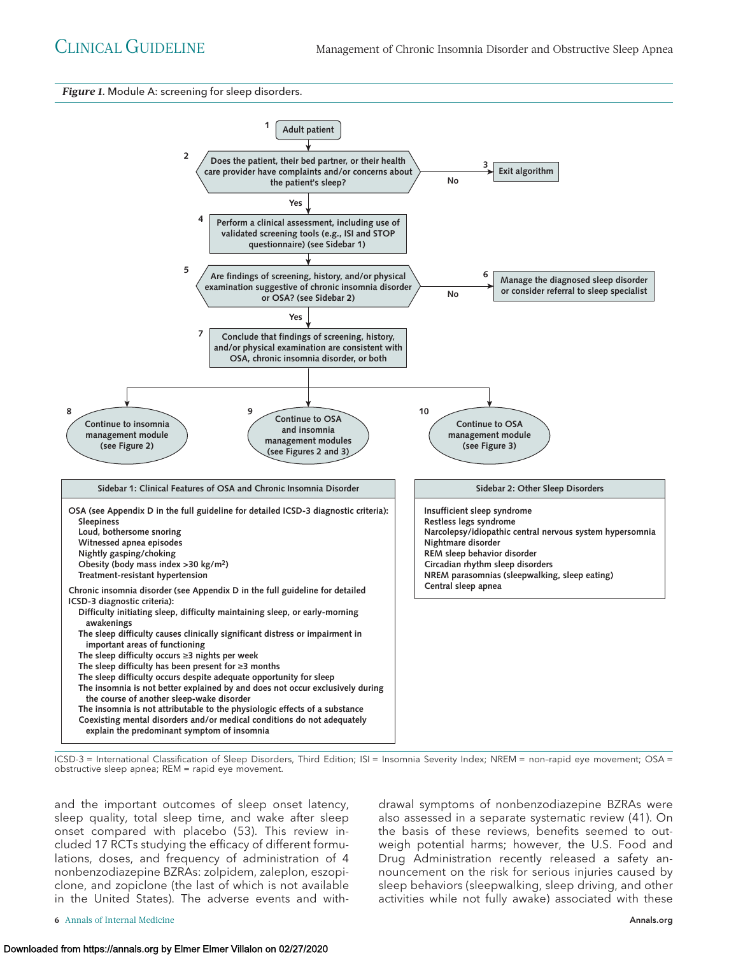#### *Figure 1.* Module A: screening for sleep disorders.



ICSD-3 = International Classification of Sleep Disorders, Third Edition; ISI = Insomnia Severity Index; NREM = non–rapid eye movement; OSA = obstructive sleep apnea; REM = rapid eye movement.

and the important outcomes of sleep onset latency, sleep quality, total sleep time, and wake after sleep onset compared with placebo (53). This review included 17 RCTs studying the efficacy of different formulations, doses, and frequency of administration of 4 nonbenzodiazepine BZRAs: zolpidem, zaleplon, eszopiclone, and zopiclone (the last of which is not available in the United States). The adverse events and with-

**6** Annals of Internal Medicine **[Annals.org](http://www.annals.org) 6** Annals.org **6** Annals.org **6** Annals.org **6** Annals.org **6** Annals.org **6** Annals.org **6** Annals.org **6** Annals.org **6** Annals.org **6** Annals.org **6** Annals.org **6** Annals.o

drawal symptoms of nonbenzodiazepine BZRAs were also assessed in a separate systematic review (41). On the basis of these reviews, benefits seemed to outweigh potential harms; however, the U.S. Food and Drug Administration recently released a safety announcement on the risk for serious injuries caused by sleep behaviors (sleepwalking, sleep driving, and other activities while not fully awake) associated with these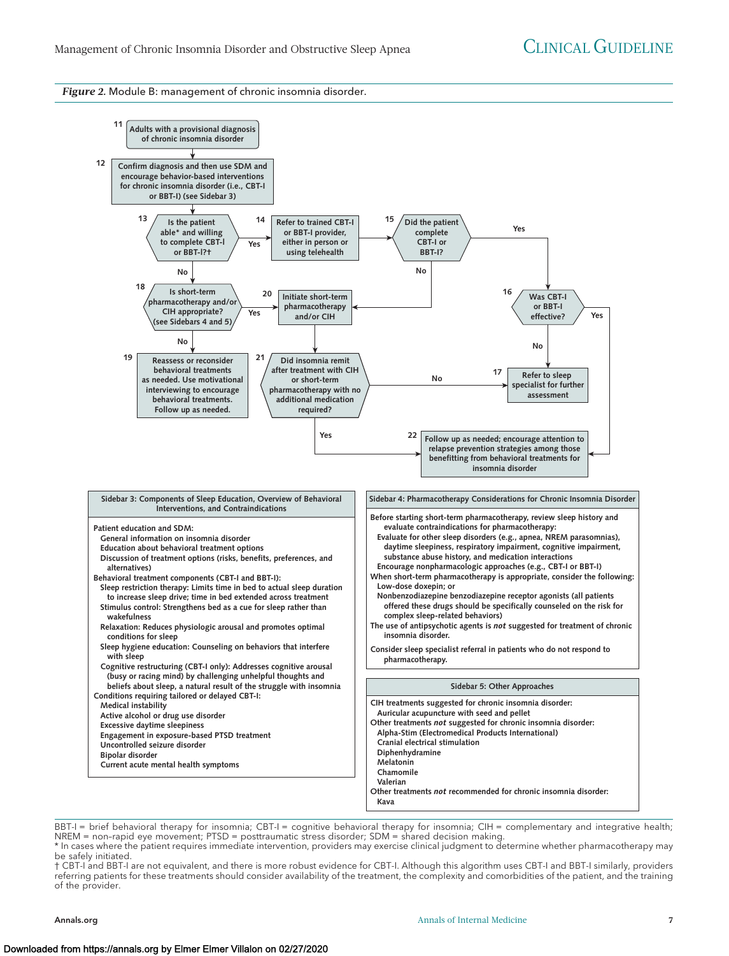



BBT-I = brief behavioral therapy for insomnia; CBT-I = cognitive behavioral therapy for insomnia; CIH = complementary and integrative health; NREM = non–rapid eye movement; PTSD = posttraumatic stress disorder; SDM = shared decision making.

\* In cases where the patient requires immediate intervention, providers may exercise clinical judgment to determine whether pharmacotherapy may be safely initiated.

† CBT-I and BBT-I are not equivalent, and there is more robust evidence for CBT-I. Although this algorithm uses CBT-I and BBT-I similarly, providers referring patients for these treatments should consider availability of the treatment, the complexity and comorbidities of the patient, and the training of the provider.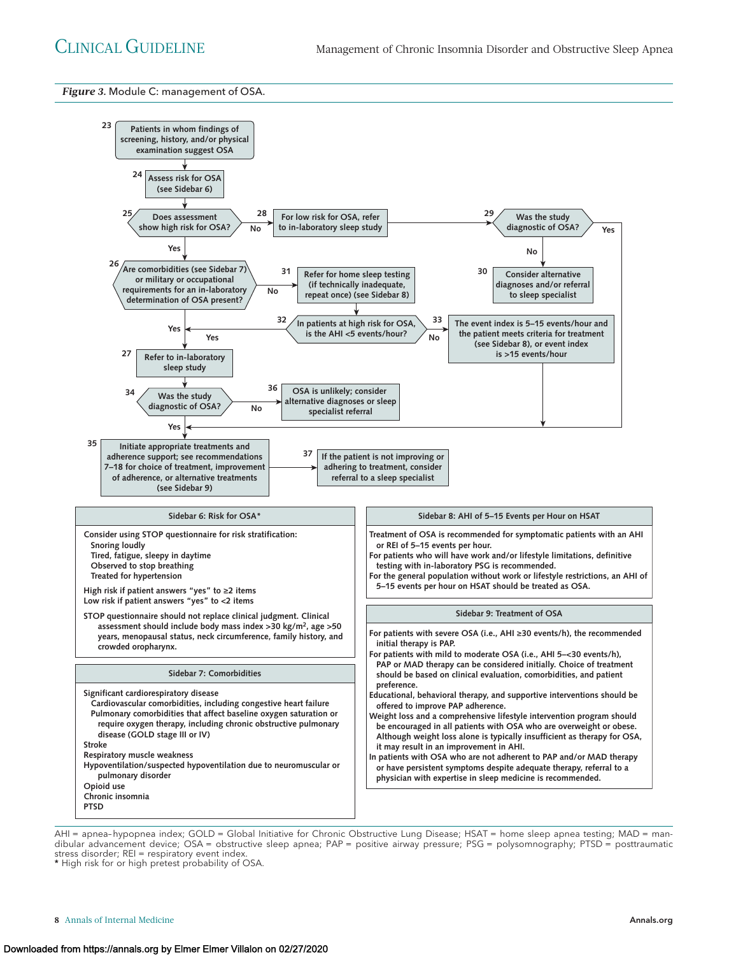*Figure 3.* Module C: management of OSA.



AHI = apnea-hypopnea index; GOLD = Global Initiative for Chronic Obstructive Lung Disease; HSAT = home sleep apnea testing; MAD = mandibular advancement device; OSA = obstructive sleep apnea; PAP = positive airway pressure; PSG = polysomnography; PTSD = posttraumatic stress disorder; REI = respiratory event index.

\* High risk for or high pretest probability of OSA.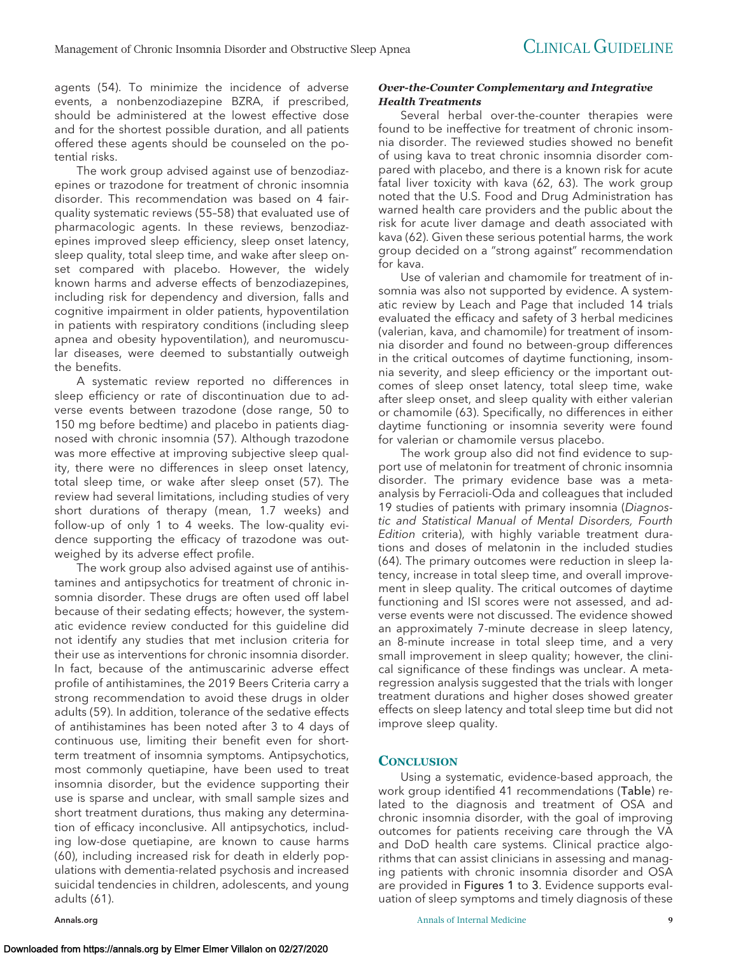agents (54). To minimize the incidence of adverse events, a nonbenzodiazepine BZRA, if prescribed, should be administered at the lowest effective dose and for the shortest possible duration, and all patients offered these agents should be counseled on the potential risks.

The work group advised against use of benzodiazepines or trazodone for treatment of chronic insomnia disorder. This recommendation was based on 4 fairquality systematic reviews (55–58) that evaluated use of pharmacologic agents. In these reviews, benzodiazepines improved sleep efficiency, sleep onset latency, sleep quality, total sleep time, and wake after sleep onset compared with placebo. However, the widely known harms and adverse effects of benzodiazepines, including risk for dependency and diversion, falls and cognitive impairment in older patients, hypoventilation in patients with respiratory conditions (including sleep apnea and obesity hypoventilation), and neuromuscular diseases, were deemed to substantially outweigh the benefits.

A systematic review reported no differences in sleep efficiency or rate of discontinuation due to adverse events between trazodone (dose range, 50 to 150 mg before bedtime) and placebo in patients diagnosed with chronic insomnia (57). Although trazodone was more effective at improving subjective sleep quality, there were no differences in sleep onset latency, total sleep time, or wake after sleep onset (57). The review had several limitations, including studies of very short durations of therapy (mean, 1.7 weeks) and follow-up of only 1 to 4 weeks. The low-quality evidence supporting the efficacy of trazodone was outweighed by its adverse effect profile.

The work group also advised against use of antihistamines and antipsychotics for treatment of chronic insomnia disorder. These drugs are often used off label because of their sedating effects; however, the systematic evidence review conducted for this guideline did not identify any studies that met inclusion criteria for their use as interventions for chronic insomnia disorder. In fact, because of the antimuscarinic adverse effect profile of antihistamines, the 2019 Beers Criteria carry a strong recommendation to avoid these drugs in older adults (59). In addition, tolerance of the sedative effects of antihistamines has been noted after 3 to 4 days of continuous use, limiting their benefit even for shortterm treatment of insomnia symptoms. Antipsychotics, most commonly quetiapine, have been used to treat insomnia disorder, but the evidence supporting their use is sparse and unclear, with small sample sizes and short treatment durations, thus making any determination of efficacy inconclusive. All antipsychotics, including low-dose quetiapine, are known to cause harms (60), including increased risk for death in elderly populations with dementia-related psychosis and increased suicidal tendencies in children, adolescents, and young adults (61).

#### *Over-the-Counter Complementary and Integrative Health Treatments*

Several herbal over-the-counter therapies were found to be ineffective for treatment of chronic insomnia disorder. The reviewed studies showed no benefit of using kava to treat chronic insomnia disorder compared with placebo, and there is a known risk for acute fatal liver toxicity with kava (62, 63). The work group noted that the U.S. Food and Drug Administration has warned health care providers and the public about the risk for acute liver damage and death associated with kava (62). Given these serious potential harms, the work group decided on a "strong against" recommendation for kava.

Use of valerian and chamomile for treatment of insomnia was also not supported by evidence. A systematic review by Leach and Page that included 14 trials evaluated the efficacy and safety of 3 herbal medicines (valerian, kava, and chamomile) for treatment of insomnia disorder and found no between-group differences in the critical outcomes of daytime functioning, insomnia severity, and sleep efficiency or the important outcomes of sleep onset latency, total sleep time, wake after sleep onset, and sleep quality with either valerian or chamomile (63). Specifically, no differences in either daytime functioning or insomnia severity were found for valerian or chamomile versus placebo.

The work group also did not find evidence to support use of melatonin for treatment of chronic insomnia disorder. The primary evidence base was a metaanalysis by Ferracioli-Oda and colleagues that included 19 studies of patients with primary insomnia (Diagnostic and Statistical Manual of Mental Disorders, Fourth Edition criteria), with highly variable treatment durations and doses of melatonin in the included studies (64). The primary outcomes were reduction in sleep latency, increase in total sleep time, and overall improvement in sleep quality. The critical outcomes of daytime functioning and ISI scores were not assessed, and adverse events were not discussed. The evidence showed an approximately 7-minute decrease in sleep latency, an 8-minute increase in total sleep time, and a very small improvement in sleep quality; however, the clinical significance of these findings was unclear. A metaregression analysis suggested that the trials with longer treatment durations and higher doses showed greater effects on sleep latency and total sleep time but did not improve sleep quality.

## **CONCLUSION**

Using a systematic, evidence-based approach, the work group identified 41 recommendations (Table) related to the diagnosis and treatment of OSA and chronic insomnia disorder, with the goal of improving outcomes for patients receiving care through the VA and DoD health care systems. Clinical practice algorithms that can assist clinicians in assessing and managing patients with chronic insomnia disorder and OSA are provided in Figures 1 to 3. Evidence supports evaluation of sleep symptoms and timely diagnosis of these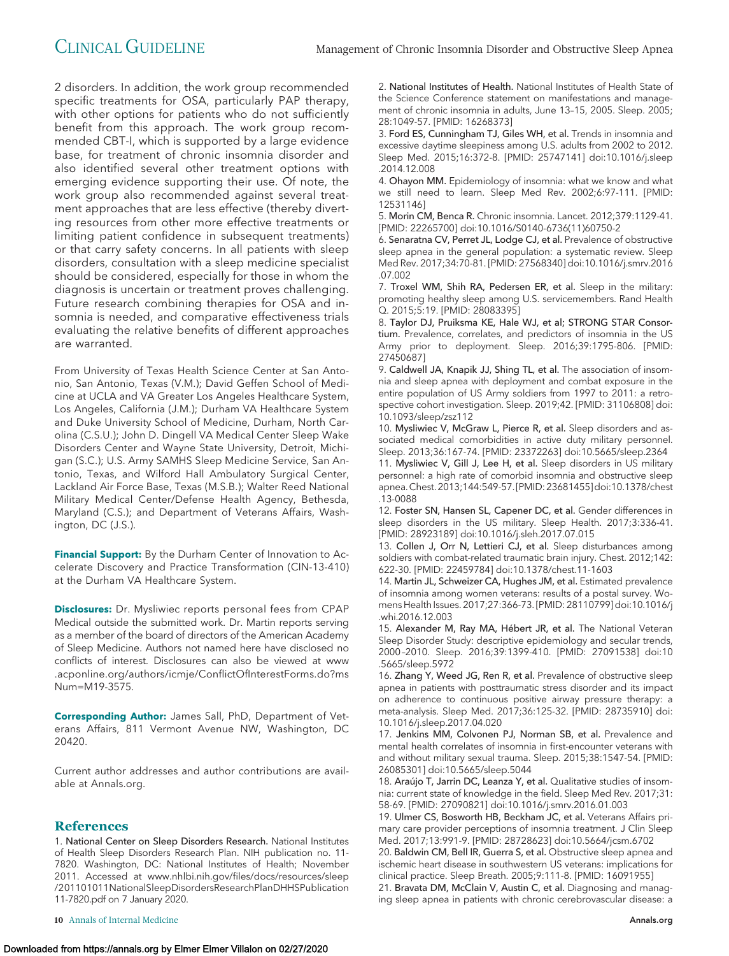2 disorders. In addition, the work group recommended specific treatments for OSA, particularly PAP therapy, with other options for patients who do not sufficiently benefit from this approach. The work group recommended CBT-I, which is supported by a large evidence base, for treatment of chronic insomnia disorder and also identified several other treatment options with emerging evidence supporting their use. Of note, the work group also recommended against several treatment approaches that are less effective (thereby diverting resources from other more effective treatments or limiting patient confidence in subsequent treatments) or that carry safety concerns. In all patients with sleep disorders, consultation with a sleep medicine specialist should be considered, especially for those in whom the diagnosis is uncertain or treatment proves challenging. Future research combining therapies for OSA and insomnia is needed, and comparative effectiveness trials evaluating the relative benefits of different approaches are warranted.

From University of Texas Health Science Center at San Antonio, San Antonio, Texas (V.M.); David Geffen School of Medicine at UCLA and VA Greater Los Angeles Healthcare System, Los Angeles, California (J.M.); Durham VA Healthcare System and Duke University School of Medicine, Durham, North Carolina (C.S.U.); John D. Dingell VA Medical Center Sleep Wake Disorders Center and Wayne State University, Detroit, Michigan (S.C.); U.S. Army SAMHS Sleep Medicine Service, San Antonio, Texas, and Wilford Hall Ambulatory Surgical Center, Lackland Air Force Base, Texas (M.S.B.); Walter Reed National Military Medical Center/Defense Health Agency, Bethesda, Maryland (C.S.); and Department of Veterans Affairs, Washington, DC (J.S.).

**Financial Support:** By the Durham Center of Innovation to Accelerate Discovery and Practice Transformation (CIN-13-410) at the Durham VA Healthcare System.

**Disclosures:** Dr. Mysliwiec reports personal fees from CPAP Medical outside the submitted work. Dr. Martin reports serving as a member of the board of directors of the American Academy of Sleep Medicine. Authors not named here have disclosed no conflicts of interest. Disclosures can also be viewed at [www](http://www.acponline.org/authors/icmje/ConflictOfInterestForms.do?msNum=M19-3575) [.acponline.org/authors/icmje/ConflictOfInterestForms.do?ms](http://www.acponline.org/authors/icmje/ConflictOfInterestForms.do?msNum=M19-3575) [Num=M19-3575.](http://www.acponline.org/authors/icmje/ConflictOfInterestForms.do?msNum=M19-3575)

**Corresponding Author:** James Sall, PhD, Department of Veterans Affairs, 811 Vermont Avenue NW, Washington, DC 20420.

Current author addresses and author contributions are available at [Annals.org.](http://www.annals.org)

## **References**

1. National Center on Sleep Disorders Research. National Institutes of Health Sleep Disorders Research Plan. NIH publication no. 11- 7820. Washington, DC: National Institutes of Health; November 2011. Accessed at [www.nhlbi.nih.gov/files/docs/resources/sleep](http://www.nhlbi.nih.gov/files/docs/resources/sleep/201101011NationalSleepDisordersResearchPlanDHHSPublication11-7820.pdf) [/201101011NationalSleepDisordersResearchPlanDHHSPublication](http://www.nhlbi.nih.gov/files/docs/resources/sleep/201101011NationalSleepDisordersResearchPlanDHHSPublication11-7820.pdf) [11-7820.pdf](http://www.nhlbi.nih.gov/files/docs/resources/sleep/201101011NationalSleepDisordersResearchPlanDHHSPublication11-7820.pdf) on 7 January 2020.

**10** Annals of Internal Medicine **[Annals.org](http://www.annals.org) 10** Annals.org **10** Annals.org **10** Annals.org **10** Annals.org **10** Annals.org **10** Annals.org **10** Annals.org **10** Annals.org **10** Annals.org **10** Annals.org **10** Annals.org

2. National Institutes of Health. National Institutes of Health State of the Science Conference statement on manifestations and management of chronic insomnia in adults, June 13–15, 2005. Sleep. 2005; 28:1049-57. [PMID: 16268373]

3. Ford ES, Cunningham TJ, Giles WH, et al. Trends in insomnia and excessive daytime sleepiness among U.S. adults from 2002 to 2012. Sleep Med. 2015;16:372-8. [PMID: 25747141] doi:10.1016/j.sleep .2014.12.008

4. Ohayon MM. Epidemiology of insomnia: what we know and what we still need to learn. Sleep Med Rev. 2002;6:97-111. [PMID: 12531146]

5. Morin CM, Benca R. Chronic insomnia. Lancet. 2012;379:1129-41. [PMID: 22265700] doi:10.1016/S0140-6736(11)60750-2

6. Senaratna CV, Perret JL, Lodge CJ, et al. Prevalence of obstructive sleep apnea in the general population: a systematic review. Sleep Med Rev. 2017;34:70-81. [PMID: 27568340] doi:10.1016/j.smrv.2016 .07.002

7. Troxel WM, Shih RA, Pedersen ER, et al. Sleep in the military: promoting healthy sleep among U.S. servicemembers. Rand Health Q. 2015;5:19. [PMID: 28083395]

8. Taylor DJ, Pruiksma KE, Hale WJ, et al; STRONG STAR Consortium. Prevalence, correlates, and predictors of insomnia in the US Army prior to deployment. Sleep. 2016;39:1795-806. [PMID: 27450687]

9. Caldwell JA, Knapik JJ, Shing TL, et al. The association of insomnia and sleep apnea with deployment and combat exposure in the entire population of US Army soldiers from 1997 to 2011: a retrospective cohort investigation. Sleep. 2019;42. [PMID: 31106808] doi: 10.1093/sleep/zsz112

10. Mysliwiec V, McGraw L, Pierce R, et al. Sleep disorders and associated medical comorbidities in active duty military personnel. Sleep. 2013;36:167-74. [PMID: 23372263] doi:10.5665/sleep.2364

11. Mysliwiec V, Gill J, Lee H, et al. Sleep disorders in US military personnel: a high rate of comorbid insomnia and obstructive sleep apnea.Chest.2013;144:549-57. [PMID:23681455]doi:10.1378/chest .13-0088

12. Foster SN, Hansen SL, Capener DC, et al. Gender differences in sleep disorders in the US military. Sleep Health. 2017;3:336-41. [PMID: 28923189] doi:10.1016/j.sleh.2017.07.015

13. Collen J, Orr N, Lettieri CJ, et al. Sleep disturbances among soldiers with combat-related traumatic brain injury. Chest. 2012;142: 622-30. [PMID: 22459784] doi:10.1378/chest.11-1603

14. Martin JL, Schweizer CA, Hughes JM, et al. Estimated prevalence of insomnia among women veterans: results of a postal survey. Womens Health Issues. 2017;27:366-73. [PMID: 28110799] doi:10.1016/j .whi.2016.12.003

15. Alexander M, Ray MA, Hébert JR, et al. The National Veteran Sleep Disorder Study: descriptive epidemiology and secular trends, 2000 –2010. Sleep. 2016;39:1399-410. [PMID: 27091538] doi:10 .5665/sleep.5972

16. Zhang Y, Weed JG, Ren R, et al. Prevalence of obstructive sleep apnea in patients with posttraumatic stress disorder and its impact on adherence to continuous positive airway pressure therapy: a meta-analysis. Sleep Med. 2017;36:125-32. [PMID: 28735910] doi: 10.1016/j.sleep.2017.04.020

17. Jenkins MM, Colvonen PJ, Norman SB, et al. Prevalence and mental health correlates of insomnia in first-encounter veterans with and without military sexual trauma. Sleep. 2015;38:1547-54. [PMID: 26085301] doi:10.5665/sleep.5044

18. Araújo T, Jarrin DC, Leanza Y, et al. Qualitative studies of insomnia: current state of knowledge in the field. Sleep Med Rev. 2017;31: 58-69. [PMID: 27090821] doi:10.1016/j.smrv.2016.01.003

19. Ulmer CS, Bosworth HB, Beckham JC, et al. Veterans Affairs primary care provider perceptions of insomnia treatment. J Clin Sleep Med. 2017;13:991-9. [PMID: 28728623] doi:10.5664/jcsm.6702

20. Baldwin CM, Bell IR, Guerra S, et al. Obstructive sleep apnea and ischemic heart disease in southwestern US veterans: implications for clinical practice. Sleep Breath. 2005;9:111-8. [PMID: 16091955]

21. Bravata DM, McClain V, Austin C, et al. Diagnosing and managing sleep apnea in patients with chronic cerebrovascular disease: a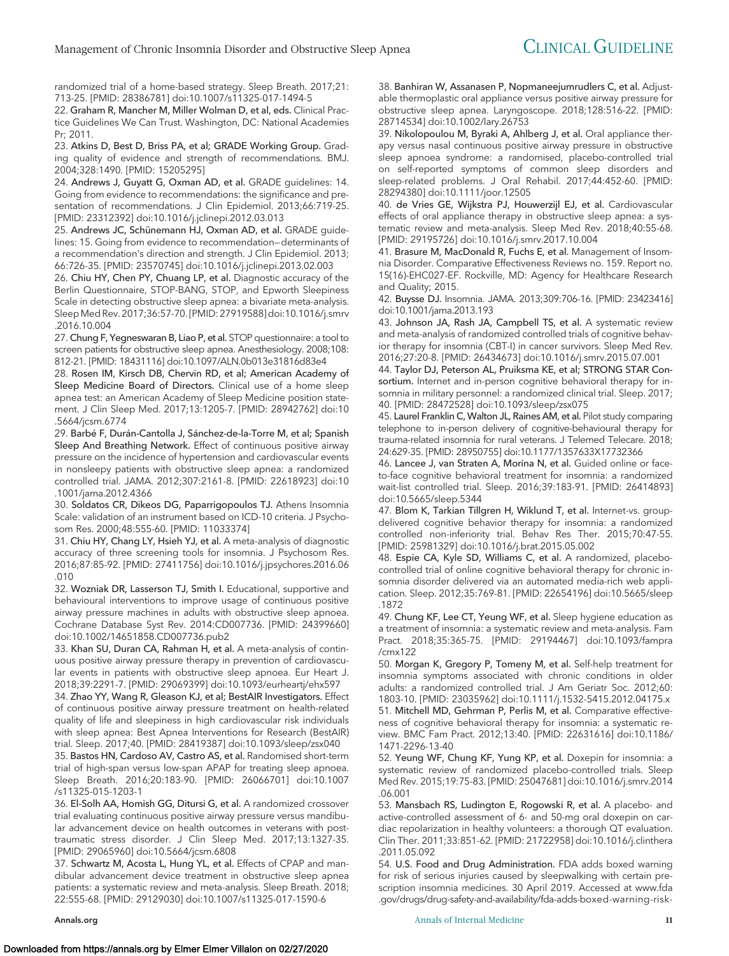randomized trial of a home-based strategy. Sleep Breath. 2017;21: 713-25. [PMID: 28386781] doi:10.1007/s11325-017-1494-5

22. Graham R, Mancher M, Miller Wolman D, et al, eds. Clinical Practice Guidelines We Can Trust. Washington, DC: National Academies Pr; 2011.

23. Atkins D, Best D, Briss PA, et al; GRADE Working Group. Grading quality of evidence and strength of recommendations. BMJ. 2004;328:1490. [PMID: 15205295]

24. Andrews J, Guyatt G, Oxman AD, et al. GRADE guidelines: 14. Going from evidence to recommendations: the significance and presentation of recommendations. J Clin Epidemiol. 2013;66:719-25. [PMID: 23312392] doi:10.1016/j.jclinepi.2012.03.013

25. Andrews JC, Schünemann HJ, Oxman AD, et al. GRADE guidelines: 15. Going from evidence to recommendation—determinants of a recommendation's direction and strength. J Clin Epidemiol. 2013; 66:726-35. [PMID: 23570745] doi:10.1016/j.jclinepi.2013.02.003

26. Chiu HY, Chen PY, Chuang LP, et al. Diagnostic accuracy of the Berlin Questionnaire, STOP-BANG, STOP, and Epworth Sleepiness Scale in detecting obstructive sleep apnea: a bivariate meta-analysis. SleepMed Rev. 2017;36:57-70. [PMID: 27919588] doi:10.1016/j.smrv .2016.10.004

27. Chung F, Yegneswaran B, Liao P, et al. STOP questionnaire: a tool to screen patients for obstructive sleep apnea. Anesthesiology. 2008;108: 812-21. [PMID: 18431116] doi:10.1097/ALN.0b013e31816d83e4

28. Rosen IM, Kirsch DB, Chervin RD, et al; American Academy of Sleep Medicine Board of Directors. Clinical use of a home sleep apnea test: an American Academy of Sleep Medicine position statement. J Clin Sleep Med. 2017;13:1205-7. [PMID: 28942762] doi:10 .5664/jcsm.6774

29. Barbé F, Durán-Cantolla J, Sánchez-de-la-Torre M, et al; Spanish Sleep And Breathing Network. Effect of continuous positive airway pressure on the incidence of hypertension and cardiovascular events in nonsleepy patients with obstructive sleep apnea: a randomized controlled trial. JAMA. 2012;307:2161-8. [PMID: 22618923] doi:10 .1001/jama.2012.4366

30. Soldatos CR, Dikeos DG, Paparrigopoulos TJ. Athens Insomnia Scale: validation of an instrument based on ICD-10 criteria. J Psychosom Res. 2000;48:555-60. [PMID: 11033374]

31. Chiu HY, Chang LY, Hsieh YJ, et al. A meta-analysis of diagnostic accuracy of three screening tools for insomnia. J Psychosom Res. 2016;87:85-92. [PMID: 27411756] doi:10.1016/j.jpsychores.2016.06 .010

32. Wozniak DR, Lasserson TJ, Smith I. Educational, supportive and behavioural interventions to improve usage of continuous positive airway pressure machines in adults with obstructive sleep apnoea. Cochrane Database Syst Rev. 2014:CD007736. [PMID: 24399660] doi:10.1002/14651858.CD007736.pub2

33. Khan SU, Duran CA, Rahman H, et al. A meta-analysis of continuous positive airway pressure therapy in prevention of cardiovascular events in patients with obstructive sleep apnoea. Eur Heart J. 2018;39:2291-7. [PMID: 29069399] doi:10.1093/eurheartj/ehx597

34. Zhao YY, Wang R, Gleason KJ, et al; BestAIR Investigators. Effect of continuous positive airway pressure treatment on health-related quality of life and sleepiness in high cardiovascular risk individuals with sleep apnea: Best Apnea Interventions for Research (BestAIR) trial. Sleep. 2017;40. [PMID: 28419387] doi:10.1093/sleep/zsx040

35. Bastos HN, Cardoso AV, Castro AS, et al. Randomised short-term trial of high-span versus low-span APAP for treating sleep apnoea. Sleep Breath. 2016;20:183-90. [PMID: 26066701] doi:10.1007 /s11325-015-1203-1

36. El-Solh AA, Homish GG, Ditursi G, et al. A randomized crossover trial evaluating continuous positive airway pressure versus mandibular advancement device on health outcomes in veterans with posttraumatic stress disorder. J Clin Sleep Med. 2017;13:1327-35. [PMID: 29065960] doi:10.5664/jcsm.6808

37. Schwartz M, Acosta L, Hung YL, et al. Effects of CPAP and mandibular advancement device treatment in obstructive sleep apnea patients: a systematic review and meta-analysis. Sleep Breath. 2018; 22:555-68. [PMID: 29129030] doi:10.1007/s11325-017-1590-6

38. Banhiran W, Assanasen P, Nopmaneejumrudlers C, et al. Adjustable thermoplastic oral appliance versus positive airway pressure for obstructive sleep apnea. Laryngoscope. 2018;128:516-22. [PMID: 28714534] doi:10.1002/lary.26753

39. Nikolopoulou M, Byraki A, Ahlberg J, et al. Oral appliance therapy versus nasal continuous positive airway pressure in obstructive sleep apnoea syndrome: a randomised, placebo-controlled trial on self-reported symptoms of common sleep disorders and sleep-related problems. J Oral Rehabil. 2017;44:452-60. [PMID: 28294380] doi:10.1111/joor.12505

40. de Vries GE, Wijkstra PJ, Houwerzijl EJ, et al. Cardiovascular effects of oral appliance therapy in obstructive sleep apnea: a systematic review and meta-analysis. Sleep Med Rev. 2018;40:55-68. [PMID: 29195726] doi:10.1016/j.smrv.2017.10.004

41. Brasure M, MacDonald R, Fuchs E, et al. Management of Insomnia Disorder. Comparative Effectiveness Reviews no. 159. Report no. 15(16)-EHC027-EF. Rockville, MD: Agency for Healthcare Research and Quality; 2015.

42. Buysse DJ. Insomnia. JAMA. 2013;309:706-16. [PMID: 23423416] doi:10.1001/jama.2013.193

43. Johnson JA, Rash JA, Campbell TS, et al. A systematic review and meta-analysis of randomized controlled trials of cognitive behavior therapy for insomnia (CBT-I) in cancer survivors. Sleep Med Rev. 2016;27:20-8. [PMID: 26434673] doi:10.1016/j.smrv.2015.07.001

44. Taylor DJ, Peterson AL, Pruiksma KE, et al; STRONG STAR Consortium. Internet and in-person cognitive behavioral therapy for insomnia in military personnel: a randomized clinical trial. Sleep. 2017; 40. [PMID: 28472528] doi:10.1093/sleep/zsx075

45. Laurel Franklin C, Walton JL, Raines AM, et al. Pilot study comparing telephone to in-person delivery of cognitive-behavioural therapy for trauma-related insomnia for rural veterans. J Telemed Telecare. 2018; 24:629-35. [PMID: 28950755] doi:10.1177/1357633X17732366

46. Lancee J, van Straten A, Morina N, et al. Guided online or faceto-face cognitive behavioral treatment for insomnia: a randomized wait-list controlled trial. Sleep. 2016;39:183-91. [PMID: 26414893] doi:10.5665/sleep.5344

47. Blom K, Tarkian Tillgren H, Wiklund T, et al. Internet-vs. groupdelivered cognitive behavior therapy for insomnia: a randomized controlled non-inferiority trial. Behav Res Ther. 2015;70:47-55. [PMID: 25981329] doi:10.1016/j.brat.2015.05.002

48. Espie CA, Kyle SD, Williams C, et al. A randomized, placebocontrolled trial of online cognitive behavioral therapy for chronic insomnia disorder delivered via an automated media-rich web application. Sleep. 2012;35:769-81. [PMID: 22654196] doi:10.5665/sleep .1872

49. Chung KF, Lee CT, Yeung WF, et al. Sleep hygiene education as a treatment of insomnia: a systematic review and meta-analysis. Fam Pract. 2018;35:365-75. [PMID: 29194467] doi:10.1093/fampra /cmx122

50. Morgan K, Gregory P, Tomeny M, et al. Self-help treatment for insomnia symptoms associated with chronic conditions in older adults: a randomized controlled trial. J Am Geriatr Soc. 2012;60: 1803-10. [PMID: 23035962] doi:10.1111/j.1532-5415.2012.04175.x 51. Mitchell MD, Gehrman P, Perlis M, et al. Comparative effective-

ness of cognitive behavioral therapy for insomnia: a systematic review. BMC Fam Pract. 2012;13:40. [PMID: 22631616] doi:10.1186/ 1471-2296-13-40

52. Yeung WF, Chung KF, Yung KP, et al. Doxepin for insomnia: a systematic review of randomized placebo-controlled trials. Sleep Med Rev. 2015;19:75-83. [PMID: 25047681] doi:10.1016/j.smrv.2014 .06.001

53. Mansbach RS, Ludington E, Rogowski R, et al. A placebo- and active-controlled assessment of 6- and 50-mg oral doxepin on cardiac repolarization in healthy volunteers: a thorough QT evaluation. Clin Ther. 2011;33:851-62. [PMID: 21722958] doi:10.1016/j.clinthera .2011.05.092

54. U.S. Food and Drug Administration. FDA adds boxed warning for risk of serious injuries caused by sleepwalking with certain prescription insomnia medicines. 30 April 2019. Accessed at [www.fda](http://www.fda.gov/drugs/drug-safety-and-availability/fda-adds-boxed-warning-risk-serious-injuries-caused-sleepwalking-certain-prescription-insomnia) [.gov/drugs/drug-safety-and-availability/fda-adds-boxed-warning-risk-](http://www.fda.gov/drugs/drug-safety-and-availability/fda-adds-boxed-warning-risk-serious-injuries-caused-sleepwalking-certain-prescription-insomnia)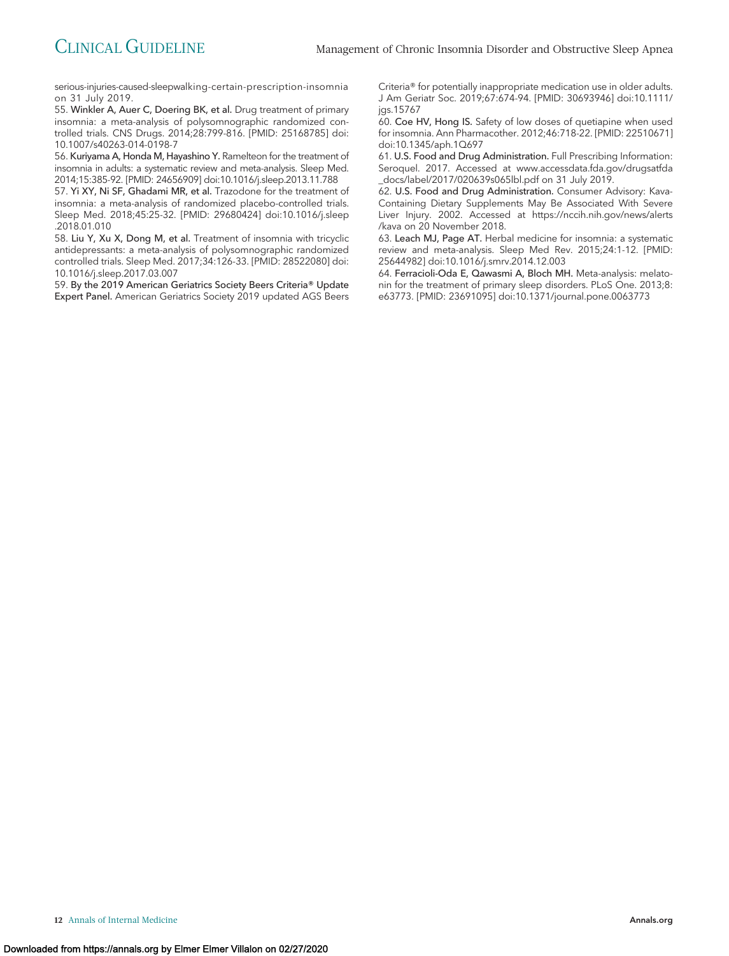[serious-injuries-caused-sleepwalking-certain-prescription-insomnia](http://www.fda.gov/drugs/drug-safety-and-availability/fda-adds-boxed-warning-risk-serious-injuries-caused-sleepwalking-certain-prescription-insomnia) on 31 July 2019.

55. Winkler A, Auer C, Doering BK, et al. Drug treatment of primary insomnia: a meta-analysis of polysomnographic randomized controlled trials. CNS Drugs. 2014;28:799-816. [PMID: 25168785] doi: 10.1007/s40263-014-0198-7

56. Kuriyama A, Honda M, Hayashino Y. Ramelteon for the treatment of insomnia in adults: a systematic review and meta-analysis. Sleep Med. 2014;15:385-92. [PMID: 24656909] doi:10.1016/j.sleep.2013.11.788

57. Yi XY, Ni SF, Ghadami MR, et al. Trazodone for the treatment of insomnia: a meta-analysis of randomized placebo-controlled trials. Sleep Med. 2018;45:25-32. [PMID: 29680424] doi:10.1016/j.sleep .2018.01.010

58. Liu Y, Xu X, Dong M, et al. Treatment of insomnia with tricyclic antidepressants: a meta-analysis of polysomnographic randomized controlled trials. Sleep Med. 2017;34:126-33. [PMID: 28522080] doi: 10.1016/j.sleep.2017.03.007

59. By the 2019 American Geriatrics Society Beers Criteria® Update Expert Panel. American Geriatrics Society 2019 updated AGS Beers Criteria® for potentially inappropriate medication use in older adults. J Am Geriatr Soc. 2019;67:674-94. [PMID: 30693946] doi:10.1111/ jgs.15767

60. Coe HV, Hong IS. Safety of low doses of quetiapine when used for insomnia. Ann Pharmacother. 2012;46:718-22. [PMID: 22510671] doi:10.1345/aph.1Q697

61. U.S. Food and Drug Administration. Full Prescribing Information: Seroquel. 2017. Accessed at [www.accessdata.fda.gov/drugsatfda](http://www.accessdata.fda.gov/drugsatfda_docs/label/2017/020639s065lbl.pdf) [\\_docs/label/2017/020639s065lbl.pdf](http://www.accessdata.fda.gov/drugsatfda_docs/label/2017/020639s065lbl.pdf) on 31 July 2019.

62. U.S. Food and Drug Administration. Consumer Advisory: Kava-Containing Dietary Supplements May Be Associated With Severe Liver Injury. 2002. Accessed at [https://nccih.nih.gov/news/alerts](https://nccih.nih.gov/news/alerts/kava) [/kava](https://nccih.nih.gov/news/alerts/kava) on 20 November 2018.

63. Leach MJ, Page AT. Herbal medicine for insomnia: a systematic review and meta-analysis. Sleep Med Rev. 2015;24:1-12. [PMID: 25644982] doi:10.1016/j.smrv.2014.12.003

64. Ferracioli-Oda E, Qawasmi A, Bloch MH. Meta-analysis: melatonin for the treatment of primary sleep disorders. PLoS One. 2013;8: e63773. [PMID: 23691095] doi:10.1371/journal.pone.0063773